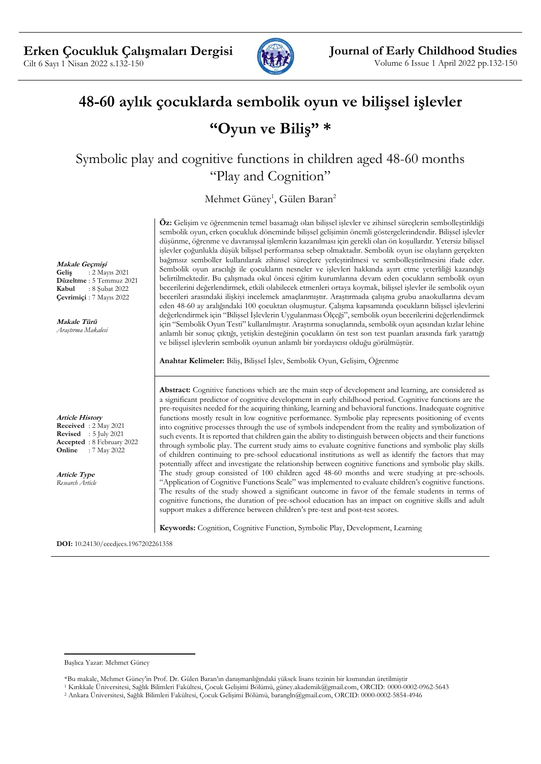

# **48-60 aylık çocuklarda sembolik oyun ve bilişsel işlevler**

## **"Oyun ve Biliş" \***

Symbolic play and cognitive functions in children aged 48-60 months "Play and Cognition"

Mehmet Güney<sup>1</sup>, Gülen Baran<sup>2</sup>

**Öz:** Gelişim ve öğrenmenin temel basamağı olan bilişsel işlevler ve zihinsel süreçlerin sembolleştirildiği sembolik oyun, erken çocukluk döneminde bilişsel gelişimin önemli göstergelerindendir. Bilişsel işlevler düşünme, öğrenme ve davranışsal işlemlerin kazanılması için gerekli olan ön koşullardır. Yetersiz bilişsel işlevler çoğunlukla düşük bilişsel performansa sebep olmaktadır. Sembolik oyun ise olayların gerçekten bağımsız semboller kullanılarak zihinsel süreçlere yerleştirilmesi ve sembolleştirilmesini ifade eder. Sembolik oyun aracılığı ile çocukların nesneler ve işlevleri hakkında ayırt etme yeterliliği kazandığı belirtilmektedir. Bu çalışmada okul öncesi eğitim kurumlarına devam eden çocukların sembolik oyun becerilerini değerlendirmek, etkili olabilecek etmenleri ortaya koymak, bilişsel işlevler ile sembolik oyun becerileri arasındaki ilişkiyi incelemek amaçlanmıştır. Araştırmada çalışma grubu anaokullarına devam eden 48-60 ay aralığındaki 100 çocuktan oluşmuştur. Çalışma kapsamında çocukların bilişsel işlevlerini değerlendirmek için "Bilişsel İşlevlerin Uygulanması Ölçeği", sembolik oyun becerilerini değerlendirmek için "Sembolik Oyun Testi" kullanılmıştır. Araştırma sonuçlarında, sembolik oyun açısından kızlar lehine anlamlı bir sonuç çıktığı, yetişkin desteğinin çocukların ön test son test puanları arasında fark yarattığı ve bilişsel işlevlerin sembolik oyunun anlamlı bir yordayıcısı olduğu görülmüştür.

**Anahtar Kelimeler:** Biliş, Bilişsel İşlev, Sembolik Oyun, Gelişim, Öğrenme

**Abstract:** Cognitive functions which are the main step of development and learning, are considered as a significant predictor of cognitive development in early childhood period. Cognitive functions are the pre-requisites needed for the acquiring thinking, learning and behavioral functions. Inadequate cognitive functions mostly result in low cognitive performance. Symbolic play represents positioning of events into cognitive processes through the use of symbols independent from the reality and symbolization of such events. It is reported that children gain the ability to distinguish between objects and their functions through symbolic play. The current study aims to evaluate cognitive functions and symbolic play skills of children continuing to pre-school educational institutions as well as identify the factors that may potentially affect and investigate the relationship between cognitive functions and symbolic play skills. The study group consisted of 100 children aged 48-60 months and were studying at pre-schools. "Application of Cognitive Functions Scale" was implemented to evaluate children's cognitive functions. The results of the study showed a significant outcome in favor of the female students in terms of cognitive functions, the duration of pre-school education has an impact on cognitive skills and adult support makes a difference between children's pre-test and post-test scores.

**Keywords:** Cognition, Cognitive Function, Symbolic Play, Development, Learning

**DOI:** 10.24130/eccdjecs.1967202261358

**Makale Geçmişi Geliş** : 2 Mayıs 2021 **Düzeltme** : 5 Temmuz 2021 **Kabul** : 8 Şubat 2022 **Çevrimiçi** : 7 Mayıs 2022

**Makale Türü** *Araştırma Makalesi*

**Article History Received** : 2 May 2021 **Revised** : 5 July 2021 **Accepted** : 8 February 2022 **Online** : 7 May 2022

**Article Type** *Research Article*

Başlıca Yazar: Mehmet Güney

<sup>\*</sup>Bu makale, Mehmet Güney'in Prof. Dr. Gülen Baran'ın danışmanlığındaki yüksek lisans tezinin bir kısmından üretilmiştir

<sup>1</sup> Kırıkkale Üniversitesi, Sağlık Bilimleri Fakültesi, Çocuk Gelişimi Bölümü, güney.akademik@gmail.com, ORCID: 0000-0002-0962-5643

<sup>2</sup> Ankara Üniversitesi, Sağlık Bilimleri Fakültesi, Çocuk Gelişimi Bölümü, barangln@gmail.com, ORCID: 0000-0002-5854-4946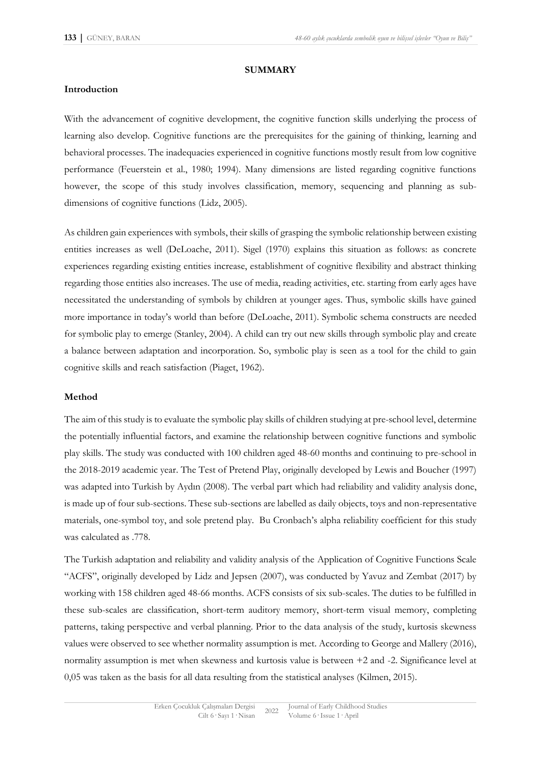#### **SUMMARY**

#### **Introduction**

With the advancement of cognitive development, the cognitive function skills underlying the process of learning also develop. Cognitive functions are the prerequisites for the gaining of thinking, learning and behavioral processes. The inadequacies experienced in cognitive functions mostly result from low cognitive performance (Feuerstein et al., 1980; 1994). Many dimensions are listed regarding cognitive functions however, the scope of this study involves classification, memory, sequencing and planning as subdimensions of cognitive functions (Lidz, 2005).

As children gain experiences with symbols, their skills of grasping the symbolic relationship between existing entities increases as well (DeLoache, 2011). Sigel (1970) explains this situation as follows: as concrete experiences regarding existing entities increase, establishment of cognitive flexibility and abstract thinking regarding those entities also increases. The use of media, reading activities, etc. starting from early ages have necessitated the understanding of symbols by children at younger ages. Thus, symbolic skills have gained more importance in today's world than before (DeLoache, 2011). Symbolic schema constructs are needed for symbolic play to emerge (Stanley, 2004). A child can try out new skills through symbolic play and create a balance between adaptation and incorporation. So, symbolic play is seen as a tool for the child to gain cognitive skills and reach satisfaction (Piaget, 1962).

#### **Method**

The aim of this study is to evaluate the symbolic play skills of children studying at pre-school level, determine the potentially influential factors, and examine the relationship between cognitive functions and symbolic play skills. The study was conducted with 100 children aged 48-60 months and continuing to pre-school in the 2018-2019 academic year. The Test of Pretend Play, originally developed by Lewis and Boucher (1997) was adapted into Turkish by Aydın (2008). The verbal part which had reliability and validity analysis done, is made up of four sub-sections. These sub-sections are labelled as daily objects, toys and non-representative materials, one-symbol toy, and sole pretend play. Bu Cronbach's alpha reliability coefficient for this study was calculated as .778.

The Turkish adaptation and reliability and validity analysis of the Application of Cognitive Functions Scale "ACFS", originally developed by Lidz and Jepsen (2007), was conducted by Yavuz and Zembat (2017) by working with 158 children aged 48-66 months. ACFS consists of six sub-scales. The duties to be fulfilled in these sub-scales are classification, short-term auditory memory, short-term visual memory, completing patterns, taking perspective and verbal planning. Prior to the data analysis of the study, kurtosis skewness values were observed to see whether normality assumption is met. According to George and Mallery (2016), normality assumption is met when skewness and kurtosis value is between +2 and -2. Significance level at 0,05 was taken as the basis for all data resulting from the statistical analyses (Kilmen, 2015).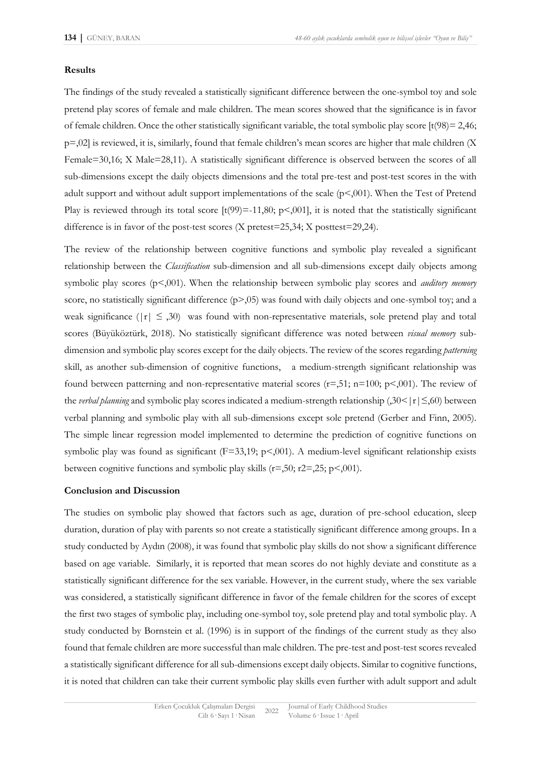#### **Results**

The findings of the study revealed a statistically significant difference between the one-symbol toy and sole pretend play scores of female and male children. The mean scores showed that the significance is in favor of female children. Once the other statistically significant variable, the total symbolic play score  $[t(98) = 2,46;$ p=,02] is reviewed, it is, similarly, found that female children's mean scores are higher that male children (X Female=30,16; X Male=28,11). A statistically significant difference is observed between the scores of all sub-dimensions except the daily objects dimensions and the total pre-test and post-test scores in the with adult support and without adult support implementations of the scale (p<,001). When the Test of Pretend Play is reviewed through its total score  $[t(99)=11,80; p<0.01]$ , it is noted that the statistically significant difference is in favor of the post-test scores (X pretest=25,34; X posttest=29,24).

The review of the relationship between cognitive functions and symbolic play revealed a significant relationship between the *Classification* sub-dimension and all sub-dimensions except daily objects among symbolic play scores (p<,001). When the relationship between symbolic play scores and *auditory memory* score, no statistically significant difference  $(p>0.05)$  was found with daily objects and one-symbol toy; and a weak significance ( $|r| \leq 0.30$ ) was found with non-representative materials, sole pretend play and total scores (Büyüköztürk, 2018). No statistically significant difference was noted between *visual memory* subdimension and symbolic play scores except for the daily objects. The review of the scores regarding *patterning* skill, as another sub-dimension of cognitive functions, a medium-strength significant relationship was found between patterning and non-representative material scores  $(r=0.51; n=100; p<0.01)$ . The review of the *verbal planning* and symbolic play scores indicated a medium-strength relationship (,30< | r | ≤,60) between verbal planning and symbolic play with all sub-dimensions except sole pretend (Gerber and Finn, 2005). The simple linear regression model implemented to determine the prediction of cognitive functions on symbolic play was found as significant (F=33,19; p<,001). A medium-level significant relationship exists between cognitive functions and symbolic play skills  $(r=50; r=25; p<0.01)$ .

#### **Conclusion and Discussion**

The studies on symbolic play showed that factors such as age, duration of pre-school education, sleep duration, duration of play with parents so not create a statistically significant difference among groups. In a study conducted by Aydın (2008), it was found that symbolic play skills do not show a significant difference based on age variable. Similarly, it is reported that mean scores do not highly deviate and constitute as a statistically significant difference for the sex variable. However, in the current study, where the sex variable was considered, a statistically significant difference in favor of the female children for the scores of except the first two stages of symbolic play, including one-symbol toy, sole pretend play and total symbolic play. A study conducted by Bornstein et al. (1996) is in support of the findings of the current study as they also found that female children are more successful than male children. The pre-test and post-test scores revealed a statistically significant difference for all sub-dimensions except daily objects. Similar to cognitive functions, it is noted that children can take their current symbolic play skills even further with adult support and adult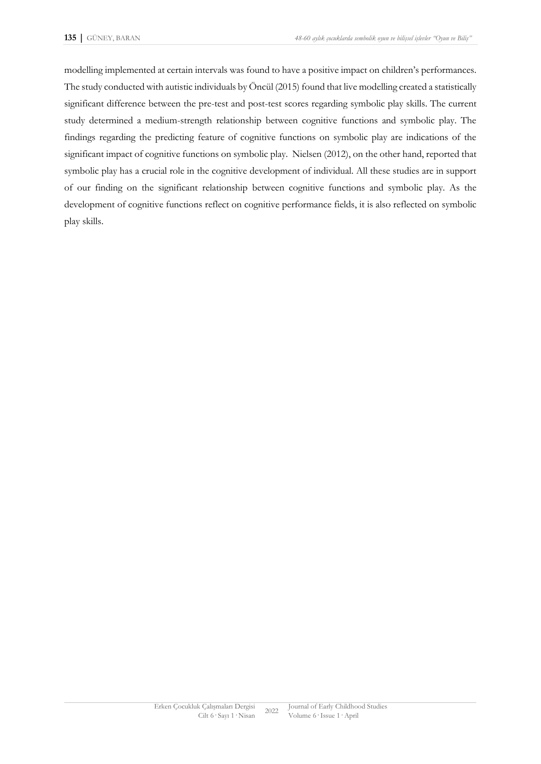modelling implemented at certain intervals was found to have a positive impact on children's performances. The study conducted with autistic individuals by Öncül (2015) found that live modelling created a statistically significant difference between the pre-test and post-test scores regarding symbolic play skills. The current study determined a medium-strength relationship between cognitive functions and symbolic play. The findings regarding the predicting feature of cognitive functions on symbolic play are indications of the significant impact of cognitive functions on symbolic play. Nielsen (2012), on the other hand, reported that symbolic play has a crucial role in the cognitive development of individual. All these studies are in support of our finding on the significant relationship between cognitive functions and symbolic play. As the development of cognitive functions reflect on cognitive performance fields, it is also reflected on symbolic play skills.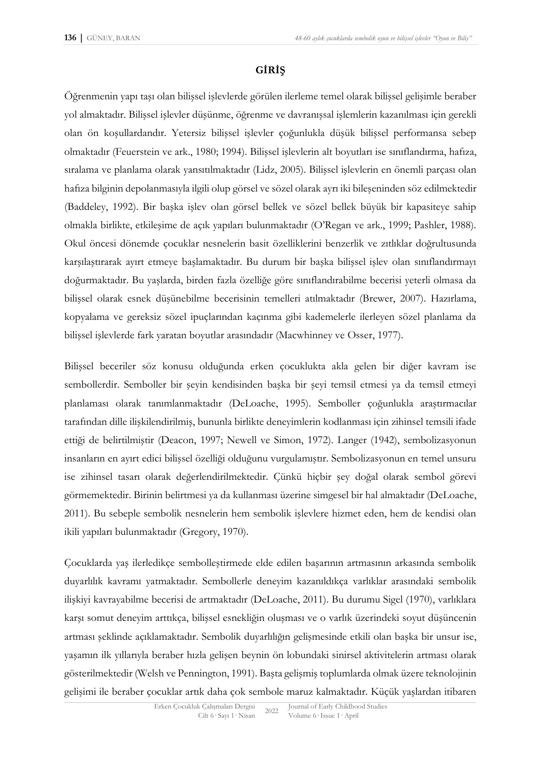## **GİRİŞ**

Öğrenmenin yapı taşı olan bilişsel işlevlerde görülen ilerleme temel olarak bilişsel gelişimle beraber yol almaktadır. Bilişsel işlevler düşünme, öğrenme ve davranışsal işlemlerin kazanılması için gerekli olan ön koşullardandır. Yetersiz bilişsel işlevler çoğunlukla düşük bilişsel performansa sebep olmaktadır (Feuerstein ve ark., 1980; 1994). Bilişsel işlevlerin alt boyutları ise sınıflandırma, hafıza, sıralama ve planlama olarak yansıtılmaktadır (Lidz, 2005). Bilişsel işlevlerin en önemli parçası olan hafıza bilginin depolanmasıyla ilgili olup görsel ve sözel olarak ayrı iki bileşeninden söz edilmektedir (Baddeley, 1992). Bir başka işlev olan görsel bellek ve sözel bellek büyük bir kapasiteye sahip olmakla birlikte, etkileşime de açık yapıları bulunmaktadır (O'Regan ve ark., 1999; Pashler, 1988). Okul öncesi dönemde çocuklar nesnelerin basit özelliklerini benzerlik ve zıtlıklar doğrultusunda karşılaştırarak ayırt etmeye başlamaktadır. Bu durum bir başka bilişsel işlev olan sınıflandırmayı doğurmaktadır. Bu yaşlarda, birden fazla özelliğe göre sınıflandırabilme becerisi yeterli olmasa da bilişsel olarak esnek düşünebilme becerisinin temelleri atılmaktadır (Brewer, 2007). Hazırlama, kopyalama ve gereksiz sözel ipuçlarından kaçınma gibi kademelerle ilerleyen sözel planlama da bilişsel işlevlerde fark yaratan boyutlar arasındadır (Macwhinney ve Osser, 1977).

Bilişsel beceriler söz konusu olduğunda erken çocuklukta akla gelen bir diğer kavram ise sembollerdir. Semboller bir şeyin kendisinden başka bir şeyi temsil etmesi ya da temsil etmeyi planlaması olarak tanımlanmaktadır (DeLoache, 1995). Semboller çoğunlukla araştırmacılar tarafından dille ilişkilendirilmiş, bununla birlikte deneyimlerin kodlanması için zihinsel temsili ifade ettiği de belirtilmiştir (Deacon, 1997; Newell ve Simon, 1972). Langer (1942), sembolizasyonun insanların en ayırt edici bilişsel özelliği olduğunu vurgulamıştır. Sembolizasyonun en temel unsuru ise zihinsel tasarı olarak değerlendirilmektedir. Çünkü hiçbir şey doğal olarak sembol görevi görmemektedir. Birinin belirtmesi ya da kullanması üzerine simgesel bir hal almaktadır (DeLoache, 2011). Bu sebeple sembolik nesnelerin hem sembolik işlevlere hizmet eden, hem de kendisi olan ikili yapıları bulunmaktadır (Gregory, 1970).

Çocuklarda yaş ilerledikçe sembolleştirmede elde edilen başarının artmasının arkasında sembolik duyarlılık kavramı yatmaktadır. Sembollerle deneyim kazanıldıkça varlıklar arasındaki sembolik ilişkiyi kavrayabilme becerisi de artmaktadır (DeLoache, 2011). Bu durumu Sigel (1970), varlıklara karşı somut deneyim arttıkça, bilişsel esnekliğin oluşması ve o varlık üzerindeki soyut düşüncenin artması şeklinde açıklamaktadır. Sembolik duyarlılığın gelişmesinde etkili olan başka bir unsur ise, yaşamın ilk yıllarıyla beraber hızla gelişen beynin ön lobundaki sinirsel aktivitelerin artması olarak gösterilmektedir (Welsh ve Pennington, 1991). Başta gelişmiş toplumlarda olmak üzere teknolojinin gelişimi ile beraber çocuklar artık daha çok sembole maruz kalmaktadır. Küçük yaşlardan itibaren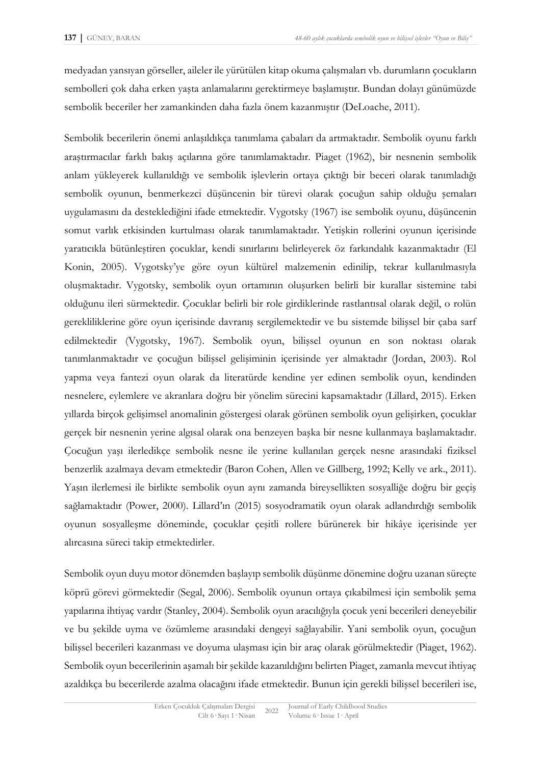medyadan yansıyan görseller, aileler ile yürütülen kitap okuma çalışmaları vb. durumların çocukların sembolleri çok daha erken yaşta anlamalarını gerektirmeye başlamıştır. Bundan dolayı günümüzde sembolik beceriler her zamankinden daha fazla önem kazanmıştır (DeLoache, 2011).

Sembolik becerilerin önemi anlaşıldıkça tanımlama çabaları da artmaktadır. Sembolik oyunu farklı araştırmacılar farklı bakış açılarına göre tanımlamaktadır. Piaget (1962), bir nesnenin sembolik anlam yükleyerek kullanıldığı ve sembolik işlevlerin ortaya çıktığı bir beceri olarak tanımladığı sembolik oyunun, benmerkezci düşüncenin bir türevi olarak çocuğun sahip olduğu şemaları uygulamasını da desteklediğini ifade etmektedir. Vygotsky (1967) ise sembolik oyunu, düşüncenin somut varlık etkisinden kurtulması olarak tanımlamaktadır. Yetişkin rollerini oyunun içerisinde yaratıcıkla bütünleştiren çocuklar, kendi sınırlarını belirleyerek öz farkındalık kazanmaktadır (El Konin, 2005). Vygotsky'ye göre oyun kültürel malzemenin edinilip, tekrar kullanılmasıyla oluşmaktadır. Vygotsky, sembolik oyun ortamının oluşurken belirli bir kurallar sistemine tabi olduğunu ileri sürmektedir. Çocuklar belirli bir role girdiklerinde rastlantısal olarak değil, o rolün gerekliliklerine göre oyun içerisinde davranış sergilemektedir ve bu sistemde bilişsel bir çaba sarf edilmektedir (Vygotsky, 1967). Sembolik oyun, bilişsel oyunun en son noktası olarak tanımlanmaktadır ve çocuğun bilişsel gelişiminin içerisinde yer almaktadır (Jordan, 2003). Rol yapma veya fantezi oyun olarak da literatürde kendine yer edinen sembolik oyun, kendinden nesnelere, eylemlere ve akranlara doğru bir yönelim sürecini kapsamaktadır (Lillard, 2015). Erken yıllarda birçok gelişimsel anomalinin göstergesi olarak görünen sembolik oyun gelişirken, çocuklar gerçek bir nesnenin yerine algısal olarak ona benzeyen başka bir nesne kullanmaya başlamaktadır. Çocuğun yaşı ilerledikçe sembolik nesne ile yerine kullanılan gerçek nesne arasındaki fiziksel benzerlik azalmaya devam etmektedir (Baron Cohen, Allen ve Gillberg, 1992; Kelly ve ark., 2011). Yaşın ilerlemesi ile birlikte sembolik oyun aynı zamanda bireysellikten sosyalliğe doğru bir geçiş sağlamaktadır (Power, 2000). Lillard'ın (2015) sosyodramatik oyun olarak adlandırdığı sembolik oyunun sosyalleşme döneminde, çocuklar çeşitli rollere bürünerek bir hikâye içerisinde yer alırcasına süreci takip etmektedirler.

Sembolik oyun duyu motor dönemden başlayıp sembolik düşünme dönemine doğru uzanan süreçte köprü görevi görmektedir (Segal, 2006). Sembolik oyunun ortaya çıkabilmesi için sembolik şema yapılarına ihtiyaç vardır (Stanley, 2004). Sembolik oyun aracılığıyla çocuk yeni becerileri deneyebilir ve bu şekilde uyma ve özümleme arasındaki dengeyi sağlayabilir. Yani sembolik oyun, çocuğun bilişsel becerileri kazanması ve doyuma ulaşması için bir araç olarak görülmektedir (Piaget, 1962). Sembolik oyun becerilerinin aşamalı bir şekilde kazanıldığını belirten Piaget, zamanla mevcut ihtiyaç azaldıkça bu becerilerde azalma olacağını ifade etmektedir. Bunun için gerekli bilişsel becerileri ise,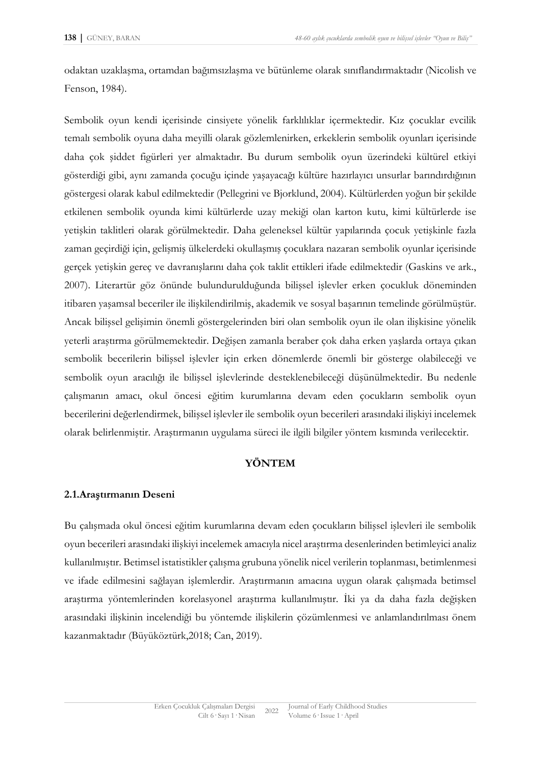odaktan uzaklaşma, ortamdan bağımsızlaşma ve bütünleme olarak sınıflandırmaktadır (Nicolish ve Fenson, 1984).

Sembolik oyun kendi içerisinde cinsiyete yönelik farklılıklar içermektedir. Kız çocuklar evcilik temalı sembolik oyuna daha meyilli olarak gözlemlenirken, erkeklerin sembolik oyunları içerisinde daha çok şiddet figürleri yer almaktadır. Bu durum sembolik oyun üzerindeki kültürel etkiyi gösterdiği gibi, aynı zamanda çocuğu içinde yaşayacağı kültüre hazırlayıcı unsurlar barındırdığının göstergesi olarak kabul edilmektedir (Pellegrini ve Bjorklund, 2004). Kültürlerden yoğun bir şekilde etkilenen sembolik oyunda kimi kültürlerde uzay mekiği olan karton kutu, kimi kültürlerde ise yetişkin taklitleri olarak görülmektedir. Daha geleneksel kültür yapılarında çocuk yetişkinle fazla zaman geçirdiği için, gelişmiş ülkelerdeki okullaşmış çocuklara nazaran sembolik oyunlar içerisinde gerçek yetişkin gereç ve davranışlarını daha çok taklit ettikleri ifade edilmektedir (Gaskins ve ark., 2007). Literartür göz önünde bulundurulduğunda bilişsel işlevler erken çocukluk döneminden itibaren yaşamsal beceriler ile ilişkilendirilmiş, akademik ve sosyal başarının temelinde görülmüştür. Ancak bilişsel gelişimin önemli göstergelerinden biri olan sembolik oyun ile olan ilişkisine yönelik yeterli araştırma görülmemektedir. Değişen zamanla beraber çok daha erken yaşlarda ortaya çıkan sembolik becerilerin bilişsel işlevler için erken dönemlerde önemli bir gösterge olabileceği ve sembolik oyun aracılığı ile bilişsel işlevlerinde desteklenebileceği düşünülmektedir. Bu nedenle çalışmanın amacı, okul öncesi eğitim kurumlarına devam eden çocukların sembolik oyun becerilerini değerlendirmek, bilişsel işlevler ile sembolik oyun becerileri arasındaki ilişkiyi incelemek olarak belirlenmiştir. Araştırmanın uygulama süreci ile ilgili bilgiler yöntem kısmında verilecektir.

## **YÖNTEM**

## **2.1.Araştırmanın Deseni**

Bu çalışmada okul öncesi eğitim kurumlarına devam eden çocukların bilişsel işlevleri ile sembolik oyun becerileri arasındaki ilişkiyi incelemek amacıyla nicel araştırma desenlerinden betimleyici analiz kullanılmıştır. Betimsel istatistikler çalışma grubuna yönelik nicel verilerin toplanması, betimlenmesi ve ifade edilmesini sağlayan işlemlerdir. Araştırmanın amacına uygun olarak çalışmada betimsel araştırma yöntemlerinden korelasyonel araştırma kullanılmıştır. İki ya da daha fazla değişken arasındaki ilişkinin incelendiği bu yöntemde ilişkilerin çözümlenmesi ve anlamlandırılması önem kazanmaktadır (Büyüköztürk,2018; Can, 2019).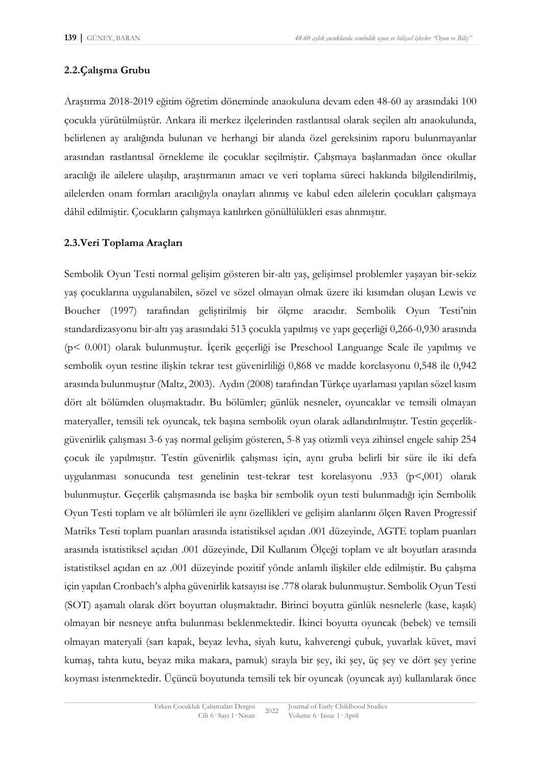## **2.2.Çalışma Grubu**

Araştırma 2018-2019 eğitim öğretim döneminde anaokuluna devam eden 48-60 ay arasındaki 100 çocukla yürütülmüştür. Ankara ili merkez ilçelerinden rastlantısal olarak seçilen altı anaokulunda, belirlenen ay aralığında bulunan ve herhangi bir alanda özel gereksinim raporu bulunmayanlar arasından rastlantısal örnekleme ile çocuklar seçilmiştir. Çalışmaya başlanmadan önce okullar aracılığı ile ailelere ulaşılıp, araştırmanın amacı ve veri toplama süreci hakkında bilgilendirilmiş, ailelerden onam formları aracılığıyla onayları alınmış ve kabul eden ailelerin çocukları çalışmaya dâhil edilmiştir. Çocukların çalışmaya katılırken gönüllülükleri esas alınmıştır.

### **2.3.Veri Toplama Araçları**

Sembolik Oyun Testi normal gelişim gösteren bir-altı yaş, gelişimsel problemler yaşayan bir-sekiz yaş çocuklarına uygulanabilen, sözel ve sözel olmayan olmak üzere iki kısımdan oluşan Lewis ve Boucher (1997) tarafından geliştirilmiş bir ölçme aracıdır. Sembolik Oyun Testi'nin standardizasyonu bir-altı yaş arasındaki 513 çocukla yapılmış ve yapı geçerliği 0,266-0,930 arasında (p< 0.001) olarak bulunmuştur. İçerik geçerliği ise Preschool Languange Scale ile yapılmış ve sembolik oyun testine ilişkin tekrar test güvenirliliği 0,868 ve madde korelasyonu 0,548 ile 0,942 arasında bulunmuştur (Maltz, 2003). Aydın (2008) tarafından Türkçe uyarlaması yapılan sözel kısım dört alt bölümden oluşmaktadır. Bu bölümler; günlük nesneler, oyuncaklar ve temsili olmayan materyaller, temsili tek oyuncak, tek başına sembolik oyun olarak adlandırılmıştır. Testin geçerlikgüvenirlik çalışması 3-6 yaş normal gelişim gösteren, 5-8 yaş otizmli veya zihinsel engele sahip 254 çocuk ile yapılmıştır. Testin güvenirlik çalışması için, aynı gruba belirli bir süre ile iki defa uygulanması sonucunda test genelinin test-tekrar test korelasyonu .933 (p<,001) olarak bulunmuştur. Geçerlik çalışmasında ise başka bir sembolik oyun testi bulunmadığı için Sembolik Oyun Testi toplam ve alt bölümleri ile aynı özellikleri ve gelişim alanlarını ölçen Raven Progressif Matriks Testi toplam puanları arasında istatistiksel açıdan .001 düzeyinde, AGTE toplam puanları arasında istatistiksel açıdan .001 düzeyinde, Dil Kullanım Ölçeği toplam ve alt boyutları arasında istatistiksel açıdan en az .001 düzeyinde pozitif yönde anlamlı ilişkiler elde edilmiştir. Bu çalışma için yapılan Cronbach's alpha güvenirlik katsayısı ise .778 olarak bulunmuştur. Sembolik Oyun Testi (SOT) aşamalı olarak dört boyuttan oluşmaktadır. Birinci boyutta günlük nesnelerle (kase, kaşık) olmayan bir nesneye atıfta bulunması beklenmektedir. İkinci boyutta oyuncak (bebek) ve temsili olmayan materyali (sarı kapak, beyaz levha, siyah kutu, kahverengi çubuk, yuvarlak küvet, mavi kumaş, tahta kutu, beyaz mika makara, pamuk) sırayla bir şey, iki şey, üç şey ve dört şey yerine koyması istenmektedir. Üçüncü boyutunda temsili tek bir oyuncak (oyuncak ayı) kullanılarak önce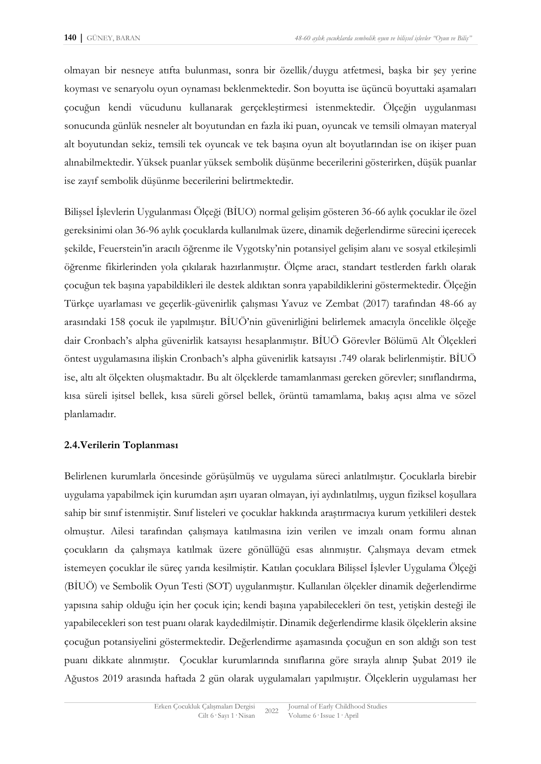olmayan bir nesneye atıfta bulunması, sonra bir özellik/duygu atfetmesi, başka bir şey yerine koyması ve senaryolu oyun oynaması beklenmektedir. Son boyutta ise üçüncü boyuttaki aşamaları çocuğun kendi vücudunu kullanarak gerçekleştirmesi istenmektedir. Ölçeğin uygulanması sonucunda günlük nesneler alt boyutundan en fazla iki puan, oyuncak ve temsili olmayan materyal alt boyutundan sekiz, temsili tek oyuncak ve tek başına oyun alt boyutlarından ise on ikişer puan alınabilmektedir. Yüksek puanlar yüksek sembolik düşünme becerilerini gösterirken, düşük puanlar ise zayıf sembolik düşünme becerilerini belirtmektedir.

Bilişsel İşlevlerin Uygulanması Ölçeği (BİUO) normal gelişim gösteren 36-66 aylık çocuklar ile özel gereksinimi olan 36-96 aylık çocuklarda kullanılmak üzere, dinamik değerlendirme sürecini içerecek şekilde, Feuerstein'in aracılı öğrenme ile Vygotsky'nin potansiyel gelişim alanı ve sosyal etkileşimli öğrenme fikirlerinden yola çıkılarak hazırlanmıştır. Ölçme aracı, standart testlerden farklı olarak çocuğun tek başına yapabildikleri ile destek aldıktan sonra yapabildiklerini göstermektedir. Ölçeğin Türkçe uyarlaması ve geçerlik-güvenirlik çalışması Yavuz ve Zembat (2017) tarafından 48-66 ay arasındaki 158 çocuk ile yapılmıştır. BİUÖ'nin güvenirliğini belirlemek amacıyla öncelikle ölçeğe dair Cronbach's alpha güvenirlik katsayısı hesaplanmıştır. BİUÖ Görevler Bölümü Alt Ölçekleri öntest uygulamasına ilişkin Cronbach's alpha güvenirlik katsayısı .749 olarak belirlenmiştir. BİUÖ ise, altı alt ölçekten oluşmaktadır. Bu alt ölçeklerde tamamlanması gereken görevler; sınıflandırma, kısa süreli işitsel bellek, kısa süreli görsel bellek, örüntü tamamlama, bakış açısı alma ve sözel planlamadır.

## **2.4.Verilerin Toplanması**

Belirlenen kurumlarla öncesinde görüşülmüş ve uygulama süreci anlatılmıştır. Çocuklarla birebir uygulama yapabilmek için kurumdan aşırı uyaran olmayan, iyi aydınlatılmış, uygun fiziksel koşullara sahip bir sınıf istenmiştir. Sınıf listeleri ve çocuklar hakkında araştırmacıya kurum yetkilileri destek olmuştur. Ailesi tarafından çalışmaya katılmasına izin verilen ve imzalı onam formu alınan çocukların da çalışmaya katılmak üzere gönüllüğü esas alınmıştır. Çalışmaya devam etmek istemeyen çocuklar ile süreç yarıda kesilmiştir. Katılan çocuklara Bilişsel İşlevler Uygulama Ölçeği (BİUÖ) ve Sembolik Oyun Testi (SOT) uygulanmıştır. Kullanılan ölçekler dinamik değerlendirme yapısına sahip olduğu için her çocuk için; kendi başına yapabilecekleri ön test, yetişkin desteği ile yapabilecekleri son test puanı olarak kaydedilmiştir. Dinamik değerlendirme klasik ölçeklerin aksine çocuğun potansiyelini göstermektedir. Değerlendirme aşamasında çocuğun en son aldığı son test puanı dikkate alınmıştır. Çocuklar kurumlarında sınıflarına göre sırayla alınıp Şubat 2019 ile Ağustos 2019 arasında haftada 2 gün olarak uygulamaları yapılmıştır. Ölçeklerin uygulaması her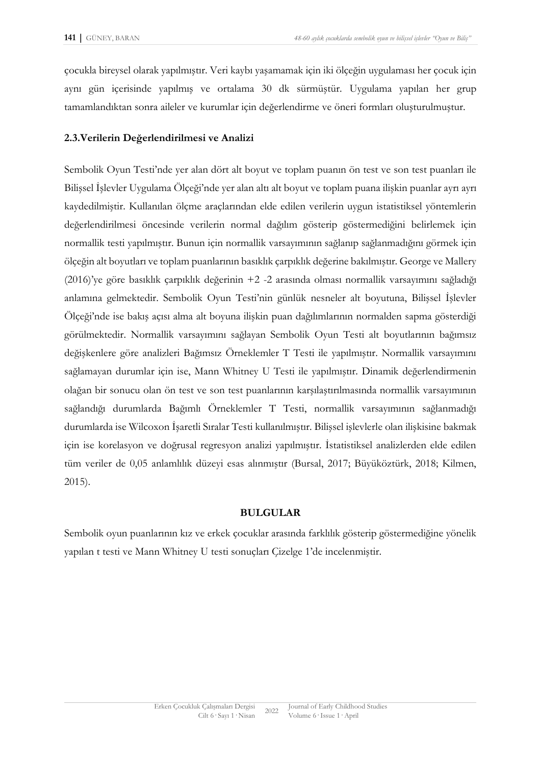çocukla bireysel olarak yapılmıştır. Veri kaybı yaşamamak için iki ölçeğin uygulaması her çocuk için aynı gün içerisinde yapılmış ve ortalama 30 dk sürmüştür. Uygulama yapılan her grup tamamlandıktan sonra aileler ve kurumlar için değerlendirme ve öneri formları oluşturulmuştur.

#### **2.3.Verilerin Değerlendirilmesi ve Analizi**

Sembolik Oyun Testi'nde yer alan dört alt boyut ve toplam puanın ön test ve son test puanları ile Bilişsel İşlevler Uygulama Ölçeği'nde yer alan altı alt boyut ve toplam puana ilişkin puanlar ayrı ayrı kaydedilmiştir. Kullanılan ölçme araçlarından elde edilen verilerin uygun istatistiksel yöntemlerin değerlendirilmesi öncesinde verilerin normal dağılım gösterip göstermediğini belirlemek için normallik testi yapılmıştır. Bunun için normallik varsayımının sağlanıp sağlanmadığını görmek için ölçeğin alt boyutları ve toplam puanlarının basıklık çarpıklık değerine bakılmıştır. George ve Mallery (2016)'ye göre basıklık çarpıklık değerinin +2 -2 arasında olması normallik varsayımını sağladığı anlamına gelmektedir. Sembolik Oyun Testi'nin günlük nesneler alt boyutuna, Bilişsel İşlevler Ölçeği'nde ise bakış açısı alma alt boyuna ilişkin puan dağılımlarının normalden sapma gösterdiği görülmektedir. Normallik varsayımını sağlayan Sembolik Oyun Testi alt boyutlarının bağımsız değişkenlere göre analizleri Bağımsız Örneklemler T Testi ile yapılmıştır. Normallik varsayımını sağlamayan durumlar için ise, Mann Whitney U Testi ile yapılmıştır. Dinamik değerlendirmenin olağan bir sonucu olan ön test ve son test puanlarının karşılaştırılmasında normallik varsayımının sağlandığı durumlarda Bağımlı Örneklemler T Testi, normallik varsayımının sağlanmadığı durumlarda ise Wilcoxon İşaretli Sıralar Testi kullanılmıştır. Bilişsel işlevlerle olan ilişkisine bakmak için ise korelasyon ve doğrusal regresyon analizi yapılmıştır. İstatistiksel analizlerden elde edilen tüm veriler de 0,05 anlamlılık düzeyi esas alınmıştır (Bursal, 2017; Büyüköztürk, 2018; Kilmen, 2015).

#### **BULGULAR**

Sembolik oyun puanlarının kız ve erkek çocuklar arasında farklılık gösterip göstermediğine yönelik yapılan t testi ve Mann Whitney U testi sonuçları Çizelge 1'de incelenmiştir.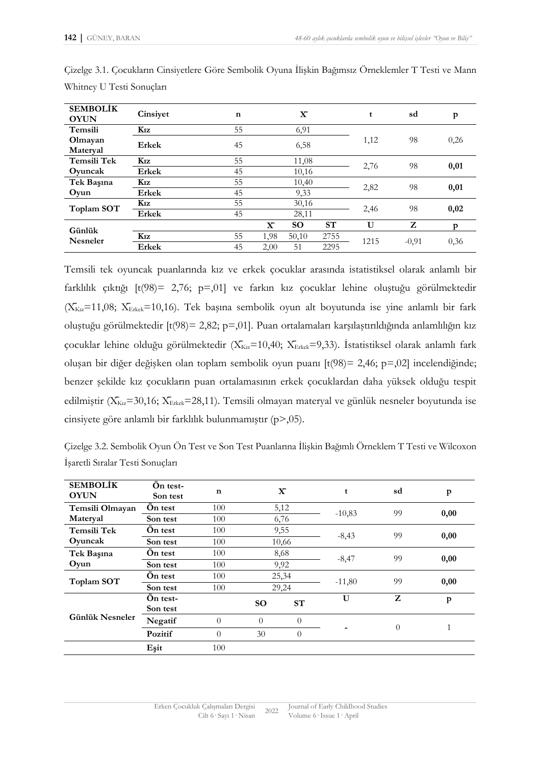| <b>SEMBOLİK</b><br><b>OYUN</b> | Cinsiyet     | $\mathbf n$ |              | $\mathbf{x}$ |      | t    | sd      | $\mathbf{p}$ |
|--------------------------------|--------------|-------------|--------------|--------------|------|------|---------|--------------|
| Temsili                        | Kız          | 55          |              | 6,91         |      |      | 98      | 0,26         |
| Olmayan<br>Materyal            | Erkek        | 45          |              | 6,58         |      | 1,12 |         |              |
| Temsili Tek                    | Kız          | 55          |              | 11,08        |      | 2,76 | 98      | 0,01         |
| Oyuncak                        | Erkek        | 45          |              | 10,16        |      |      |         |              |
| Tek Başına                     | Kız          | 55          |              | 10,40        |      | 2,82 | 98      | 0,01         |
| Oyun                           | Erkek        | 45          |              | 9,33         |      |      |         |              |
| Toplam SOT                     | Kız          | 55          |              | 30,16        |      | 2,46 | 98      | 0,02         |
|                                | Erkek        | 45          | 28,11        |              |      |      |         |              |
| Günlük<br><b>Nesneler</b>      |              |             | $\mathbf{X}$ | <b>SO</b>    | ST   | U    | Z       | p            |
|                                | Kız          | 55          | 1,98         | 50,10        | 2755 | 1215 |         |              |
|                                | <b>Erkek</b> | 45          | 2,00         | 51           | 2295 |      | $-0,91$ | 0,36         |

Çizelge 3.1. Çocukların Cinsiyetlere Göre Sembolik Oyuna İlişkin Bağımsız Örneklemler T Testi ve Mann Whitney U Testi Sonuçları

Temsili tek oyuncak puanlarında kız ve erkek çocuklar arasında istatistiksel olarak anlamlı bir farklılık çıktığı [t(98)= 2,76; p=,01] ve farkın kız çocuklar lehine oluştuğu görülmektedir  $(X_{Ku} = 11,08; X_{E_{Kk}} = 10,16)$ . Tek başına sembolik oyun alt boyutunda ise yine anlamlı bir fark oluştuğu görülmektedir [t(98)= 2,82; p=,01]. Puan ortalamaları karşılaştırıldığında anlamlılığın kız çocuklar lehine olduğu görülmektedir ( $X_{Kız}=10,40$ ;  $X_{Erkek}=9,33$ ). İstatistiksel olarak anlamlı fark oluşan bir diğer değişken olan toplam sembolik oyun puanı [t(98)= 2,46; p=,02] incelendiğinde; benzer şekilde kız çocukların puan ortalamasının erkek çocuklardan daha yüksek olduğu tespit edilmiştir ( $X_{Kra}$ =30,16;  $X_{E$ rkek=28,11). Temsili olmayan materyal ve günlük nesneler boyutunda ise cinsiyete göre anlamlı bir farklılık bulunmamıştır (p>,05).

Çizelge 3.2. Sembolik Oyun Ön Test ve Son Test Puanlarına İlişkin Bağımlı Örneklem T Testi ve Wilcoxon İşaretli Sıralar Testi Sonuçları

| <b>SEMBOLIK</b><br><b>OYUN</b> | On test-<br>Son test | n              | $\mathbf{X}$   |          | t        | sd             | p    |
|--------------------------------|----------------------|----------------|----------------|----------|----------|----------------|------|
| Temsili Olmayan                | On test              | 100            | 5,12           |          | $-10,83$ | 99             | 0,00 |
| Materyal                       | Son test             | 100            | 6,76           |          |          |                |      |
| Temsili Tek                    | On test              | 100            |                | 9,55     | $-8,43$  | 99             | 0,00 |
| Oyuncak                        | Son test             | 100            | 10,66          |          |          |                |      |
| Tek Başına                     | On test              | 100            | 8,68           |          | $-8,47$  | 99             | 0,00 |
| Oyun                           | Son test             | 100            | 9,92           |          |          |                |      |
| Toplam SOT                     | On test              | 100            | 25,34          |          | $-11,80$ | 99             | 0,00 |
|                                | Son test             | 100            | 29,24          |          |          |                |      |
| Günlük Nesneler                | On test-<br>Son test |                | <b>SO</b>      | ST       | U        | Z              | p    |
|                                | Negatif              | $\theta$       | $\Omega$       | $\Omega$ |          |                |      |
|                                | Pozitif              | $\overline{0}$ | 30<br>$\Omega$ |          |          | $\overline{0}$ | 1    |
|                                | Eşit                 | 100            |                |          |          |                |      |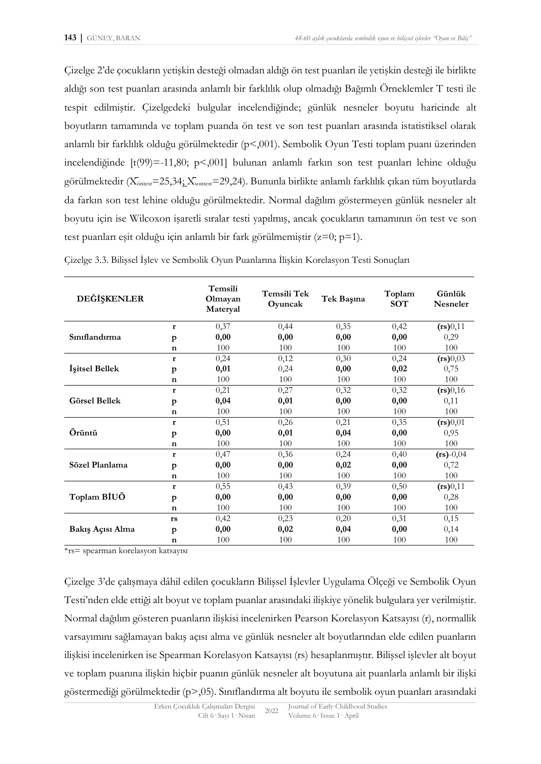Çizelge 2'de çocukların yetişkin desteği olmadan aldığı ön test puanları ile yetişkin desteği ile birlikte aldığı son test puanları arasında anlamlı bir farklılık olup olmadığı Bağımlı Örneklemler T testi ile tespit edilmiştir. Çizelgedeki bulgular incelendiğinde; günlük nesneler boyutu haricinde alt boyutların tamamında ve toplam puanda ön test ve son test puanları arasında istatistiksel olarak anlamlı bir farklılık olduğu görülmektedir (p<,001). Sembolik Oyun Testi toplam puanı üzerinden incelendiğinde [t(99)=-11,80; p<,001] bulunan anlamlı farkın son test puanları lehine olduğu görülmektedir ( $X_{\text{ontest}}$ =25,34;  $X_{\text{sontest}}$ =29,24). Bununla birlikte anlamlı farklılık çıkan tüm boyutlarda da farkın son test lehine olduğu görülmektedir. Normal dağılım göstermeyen günlük nesneler alt boyutu için ise Wilcoxon işaretli sıralar testi yapılmış, ancak çocukların tamamının ön test ve son test puanları eşit olduğu için anlamlı bir fark görülmemiştir  $(z=0; p=1)$ .

| DEĞİŞKENLER          |              | Temsili<br>Olmayan<br>Materyal | Temsili Tek<br>Oyuncak | Tek Başına | Toplam<br><b>SOT</b> | Günlük<br><b>Nesneler</b> |
|----------------------|--------------|--------------------------------|------------------------|------------|----------------------|---------------------------|
|                      | $\mathbf{r}$ | 0,37                           | 0,44                   | 0,35       | 0,42                 | (rs)0,11                  |
| Simflandirma         | p            | 0,00                           | 0,00                   | 0,00       | 0,00                 | 0,29                      |
|                      | $\mathbf n$  | 100                            | 100                    | 100        | 100                  | 100                       |
|                      | $\mathbf{r}$ | 0,24                           | 0,12                   | 0,30       | 0,24                 | (rs)0,03                  |
| İşitsel Bellek       | p            | 0,01                           | 0,24                   | 0,00       | 0,02                 | 0,75                      |
|                      | $\mathbf n$  | 100                            | 100                    | 100        | 100                  | 100                       |
|                      | r            | 0,21                           | 0,27                   | 0,32       | 0,32                 | (rs)0,16                  |
| <b>Görsel Bellek</b> | p            | 0,04                           | 0,01                   | 0,00       | 0,00                 | 0,11                      |
|                      | $\mathbf n$  | 100                            | 100                    | 100        | 100                  | 100                       |
|                      | $\mathbf{r}$ | 0,51                           | 0,26                   | 0,21       | 0,35                 | (rs)0,01                  |
| Örüntü               | p            | 0,00                           | 0,01                   | 0,04       | 0,00                 | 0,95                      |
|                      | $\mathbf n$  | 100                            | 100                    | 100        | 100                  | 100                       |
|                      | $\mathbf{r}$ | 0,47                           | 0,36                   | 0,24       | 0,40                 | $(rs) - 0,04$             |
| Sözel Planlama       | p            | 0,00                           | 0,00                   | 0,02       | 0,00                 | 0,72                      |
|                      | $\mathbf n$  | 100                            | 100                    | 100        | 100                  | 100                       |
|                      | $\mathbf{r}$ | 0,55                           | 0,43                   | 0,39       | 0,50                 | (rs)0,11                  |
| Toplam BIUÖ          | p            | 0,00                           | 0,00                   | 0,00       | 0,00                 | 0,28                      |
|                      | $\mathbf n$  | 100                            | 100                    | 100        | 100                  | 100                       |
|                      | rs           | 0,42                           | 0,23                   | 0,20       | 0,31                 | 0,15                      |
| Bakış Açısı Alma     | p            | 0,00                           | 0,02                   | 0,04       | 0,00                 | 0,14                      |
|                      | $\mathbf n$  | 100                            | 100                    | 100        | 100                  | 100                       |

Çizelge 3.3. Bilişsel İşlev ve Sembolik Oyun Puanlarına İlişkin Korelasyon Testi Sonuçları

\*rs= spearman korelasyon katsayısı

Çizelge 3'de çalışmaya dâhil edilen çocukların Bilişsel İşlevler Uygulama Ölçeği ve Sembolik Oyun Testi'nden elde ettiği alt boyut ve toplam puanlar arasındaki ilişkiye yönelik bulgulara yer verilmiştir. Normal dağılım gösteren puanların ilişkisi incelenirken Pearson Korelasyon Katsayısı (r), normallik varsayımını sağlamayan bakış açısı alma ve günlük nesneler alt boyutlarından elde edilen puanların ilişkisi incelenirken ise Spearman Korelasyon Katsayısı (rs) hesaplanmıştır. Bilişsel işlevler alt boyut ve toplam puanına ilişkin hiçbir puanın günlük nesneler alt boyutuna ait puanlarla anlamlı bir ilişki göstermediği görülmektedir (p>,05). Sınıflandırma alt boyutu ile sembolik oyun puanları arasındaki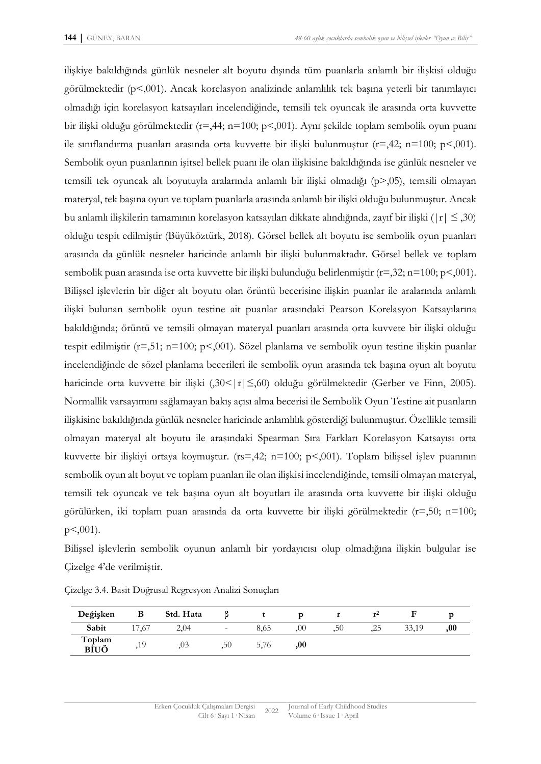ilişkiye bakıldığında günlük nesneler alt boyutu dışında tüm puanlarla anlamlı bir ilişkisi olduğu görülmektedir ( $p < 0.001$ ). Ancak korelasyon analizinde anlamlılık tek başına yeterli bir tanımlayıcı olmadığı için korelasyon katsayıları incelendiğinde, temsili tek oyuncak ile arasında orta kuvvette bir ilişki olduğu görülmektedir (r=,44; n=100; p<,001). Aynı şekilde toplam sembolik oyun puanı ile sınıflandırma puanları arasında orta kuvvette bir ilişki bulunmuştur (r=,42; n=100; p<,001). Sembolik oyun puanlarının işitsel bellek puanı ile olan ilişkisine bakıldığında ise günlük nesneler ve temsili tek oyuncak alt boyutuyla aralarında anlamlı bir ilişki olmadığı (p>,05), temsili olmayan materyal, tek başına oyun ve toplam puanlarla arasında anlamlı bir ilişki olduğu bulunmuştur. Ancak bu anlamlı ilişkilerin tamamının korelasyon katsayıları dikkate alındığında, zayıf bir ilişki (|r| ≤ ,30) olduğu tespit edilmiştir (Büyüköztürk, 2018). Görsel bellek alt boyutu ise sembolik oyun puanları arasında da günlük nesneler haricinde anlamlı bir ilişki bulunmaktadır. Görsel bellek ve toplam sembolik puan arasında ise orta kuvvette bir ilişki bulunduğu belirlenmiştir (r=,32; n=100; p<,001). Bilişsel işlevlerin bir diğer alt boyutu olan örüntü becerisine ilişkin puanlar ile aralarında anlamlı ilişki bulunan sembolik oyun testine ait puanlar arasındaki Pearson Korelasyon Katsayılarına bakıldığında; örüntü ve temsili olmayan materyal puanları arasında orta kuvvete bir ilişki olduğu tespit edilmiştir (r=,51; n=100; p<,001). Sözel planlama ve sembolik oyun testine ilişkin puanlar incelendiğinde de sözel planlama becerileri ile sembolik oyun arasında tek başına oyun alt boyutu haricinde orta kuvvette bir ilişki (,30<|r|≤,60) olduğu görülmektedir (Gerber ve Finn, 2005). Normallik varsayımını sağlamayan bakış açısı alma becerisi ile Sembolik Oyun Testine ait puanların ilişkisine bakıldığında günlük nesneler haricinde anlamlılık gösterdiği bulunmuştur. Özellikle temsili olmayan materyal alt boyutu ile arasındaki Spearman Sıra Farkları Korelasyon Katsayısı orta kuvvette bir ilişkiyi ortaya koymuştur. (rs=,42; n=100; p<,001). Toplam bilişsel işlev puanının sembolik oyun alt boyut ve toplam puanları ile olan ilişkisi incelendiğinde, temsili olmayan materyal, temsili tek oyuncak ve tek başına oyun alt boyutları ile arasında orta kuvvette bir ilişki olduğu görülürken, iki toplam puan arasında da orta kuvvette bir ilişki görülmektedir (r=,50; n=100; p<,001).

Bilişsel işlevlerin sembolik oyunun anlamlı bir yordayıcısı olup olmadığına ilişkin bulgular ise Çizelge 4'de verilmiştir.

| Değişken       |           | Std. Hata |     |      |         |     | r   |       |     |
|----------------|-----------|-----------|-----|------|---------|-----|-----|-------|-----|
| Sabit          | 17<br>.67 | 2,04      | ۰   | 8,65 | $.00\,$ | ,50 | ,25 | 33,19 | ,00 |
| Toplam<br>BİUÖ | 10        | .03       | .50 | 5,76 | ,00     |     |     |       |     |

Çizelge 3.4. Basit Doğrusal Regresyon Analizi Sonuçları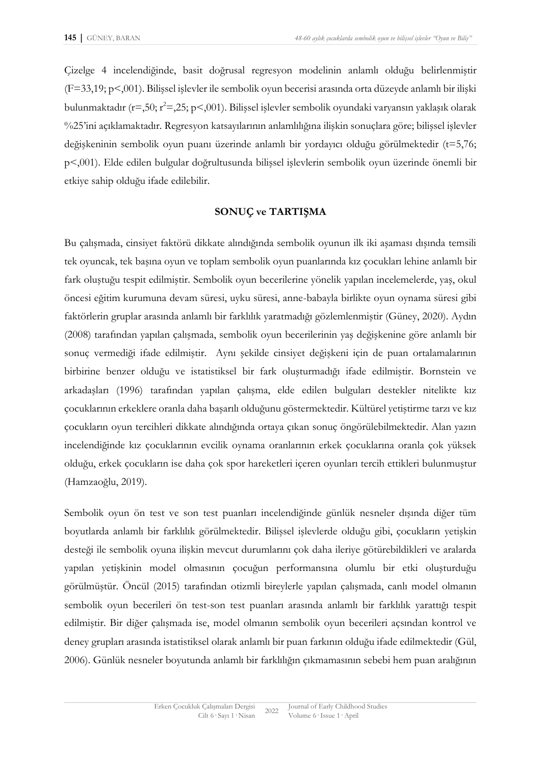Çizelge 4 incelendiğinde, basit doğrusal regresyon modelinin anlamlı olduğu belirlenmiştir (F=33,19; p<,001). Bilişsel işlevler ile sembolik oyun becerisi arasında orta düzeyde anlamlı bir ilişki bulunmaktadır (r=,50; r<sup>2</sup>=,25; p<,001). Bilissel islevler sembolik oyundaki varyansın yaklasık olarak %25'ini açıklamaktadır. Regresyon katsayılarının anlamlılığına ilişkin sonuçlara göre; bilişsel işlevler değişkeninin sembolik oyun puanı üzerinde anlamlı bir yordayıcı olduğu görülmektedir (t=5,76; p<,001). Elde edilen bulgular doğrultusunda bilişsel işlevlerin sembolik oyun üzerinde önemli bir etkiye sahip olduğu ifade edilebilir.

#### **SONUÇ ve TARTIŞMA**

Bu çalışmada, cinsiyet faktörü dikkate alındığında sembolik oyunun ilk iki aşaması dışında temsili tek oyuncak, tek başına oyun ve toplam sembolik oyun puanlarında kız çocukları lehine anlamlı bir fark oluştuğu tespit edilmiştir. Sembolik oyun becerilerine yönelik yapılan incelemelerde, yaş, okul öncesi eğitim kurumuna devam süresi, uyku süresi, anne-babayla birlikte oyun oynama süresi gibi faktörlerin gruplar arasında anlamlı bir farklılık yaratmadığı gözlemlenmiştir (Güney, 2020). Aydın (2008) tarafından yapılan çalışmada, sembolik oyun becerilerinin yaş değişkenine göre anlamlı bir sonuç vermediği ifade edilmiştir. Aynı şekilde cinsiyet değişkeni için de puan ortalamalarının birbirine benzer olduğu ve istatistiksel bir fark oluşturmadığı ifade edilmiştir. Bornstein ve arkadaşları (1996) tarafından yapılan çalışma, elde edilen bulguları destekler nitelikte kız çocuklarının erkeklere oranla daha başarılı olduğunu göstermektedir. Kültürel yetiştirme tarzı ve kız çocukların oyun tercihleri dikkate alındığında ortaya çıkan sonuç öngörülebilmektedir. Alan yazın incelendiğinde kız çocuklarının evcilik oynama oranlarının erkek çocuklarına oranla çok yüksek olduğu, erkek çocukların ise daha çok spor hareketleri içeren oyunları tercih ettikleri bulunmuştur (Hamzaoğlu, 2019).

Sembolik oyun ön test ve son test puanları incelendiğinde günlük nesneler dışında diğer tüm boyutlarda anlamlı bir farklılık görülmektedir. Bilişsel işlevlerde olduğu gibi, çocukların yetişkin desteği ile sembolik oyuna ilişkin mevcut durumlarını çok daha ileriye götürebildikleri ve aralarda yapılan yetişkinin model olmasının çocuğun performansına olumlu bir etki oluşturduğu görülmüştür. Öncül (2015) tarafından otizmli bireylerle yapılan çalışmada, canlı model olmanın sembolik oyun becerileri ön test-son test puanları arasında anlamlı bir farklılık yarattığı tespit edilmiştir. Bir diğer çalışmada ise, model olmanın sembolik oyun becerileri açsından kontrol ve deney grupları arasında istatistiksel olarak anlamlı bir puan farkının olduğu ifade edilmektedir (Gül, 2006). Günlük nesneler boyutunda anlamlı bir farklılığın çıkmamasının sebebi hem puan aralığının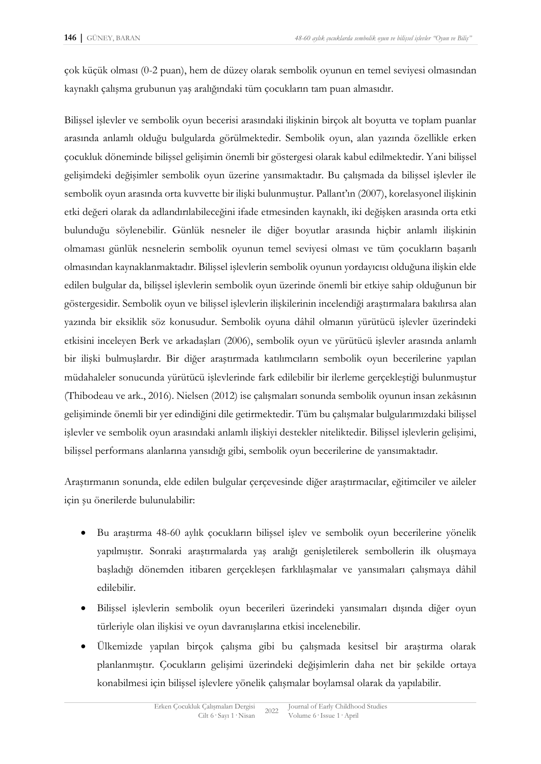çok küçük olması (0-2 puan), hem de düzey olarak sembolik oyunun en temel seviyesi olmasından kaynaklı çalışma grubunun yaş aralığındaki tüm çocukların tam puan almasıdır.

Bilişsel işlevler ve sembolik oyun becerisi arasındaki ilişkinin birçok alt boyutta ve toplam puanlar arasında anlamlı olduğu bulgularda görülmektedir. Sembolik oyun, alan yazında özellikle erken çocukluk döneminde bilişsel gelişimin önemli bir göstergesi olarak kabul edilmektedir. Yani bilişsel gelişimdeki değişimler sembolik oyun üzerine yansımaktadır. Bu çalışmada da bilişsel işlevler ile sembolik oyun arasında orta kuvvette bir ilişki bulunmuştur. Pallant'ın (2007), korelasyonel ilişkinin etki değeri olarak da adlandırılabileceğini ifade etmesinden kaynaklı, iki değişken arasında orta etki bulunduğu söylenebilir. Günlük nesneler ile diğer boyutlar arasında hiçbir anlamlı ilişkinin olmaması günlük nesnelerin sembolik oyunun temel seviyesi olması ve tüm çocukların başarılı olmasından kaynaklanmaktadır. Bilişsel işlevlerin sembolik oyunun yordayıcısı olduğuna ilişkin elde edilen bulgular da, bilişsel işlevlerin sembolik oyun üzerinde önemli bir etkiye sahip olduğunun bir göstergesidir. Sembolik oyun ve bilişsel işlevlerin ilişkilerinin incelendiği araştırmalara bakılırsa alan yazında bir eksiklik söz konusudur. Sembolik oyuna dâhil olmanın yürütücü işlevler üzerindeki etkisini inceleyen Berk ve arkadaşları (2006), sembolik oyun ve yürütücü işlevler arasında anlamlı bir ilişki bulmuşlardır. Bir diğer araştırmada katılımcıların sembolik oyun becerilerine yapılan müdahaleler sonucunda yürütücü işlevlerinde fark edilebilir bir ilerleme gerçekleştiği bulunmuştur (Thibodeau ve ark., 2016). Nielsen (2012) ise çalışmaları sonunda sembolik oyunun insan zekâsının gelişiminde önemli bir yer edindiğini dile getirmektedir. Tüm bu çalışmalar bulgularımızdaki bilişsel işlevler ve sembolik oyun arasındaki anlamlı ilişkiyi destekler niteliktedir. Bilişsel işlevlerin gelişimi, bilişsel performans alanlarına yansıdığı gibi, sembolik oyun becerilerine de yansımaktadır.

Araştırmanın sonunda, elde edilen bulgular çerçevesinde diğer araştırmacılar, eğitimciler ve aileler için şu önerilerde bulunulabilir:

- Bu araştırma 48-60 aylık çocukların bilişsel işlev ve sembolik oyun becerilerine yönelik yapılmıştır. Sonraki araştırmalarda yaş aralığı genişletilerek sembollerin ilk oluşmaya başladığı dönemden itibaren gerçekleşen farklılaşmalar ve yansımaları çalışmaya dâhil edilebilir.
- Bilişsel işlevlerin sembolik oyun becerileri üzerindeki yansımaları dışında diğer oyun türleriyle olan ilişkisi ve oyun davranışlarına etkisi incelenebilir.
- Ülkemizde yapılan birçok çalışma gibi bu çalışmada kesitsel bir araştırma olarak planlanmıştır. Çocukların gelişimi üzerindeki değişimlerin daha net bir şekilde ortaya konabilmesi için bilişsel işlevlere yönelik çalışmalar boylamsal olarak da yapılabilir.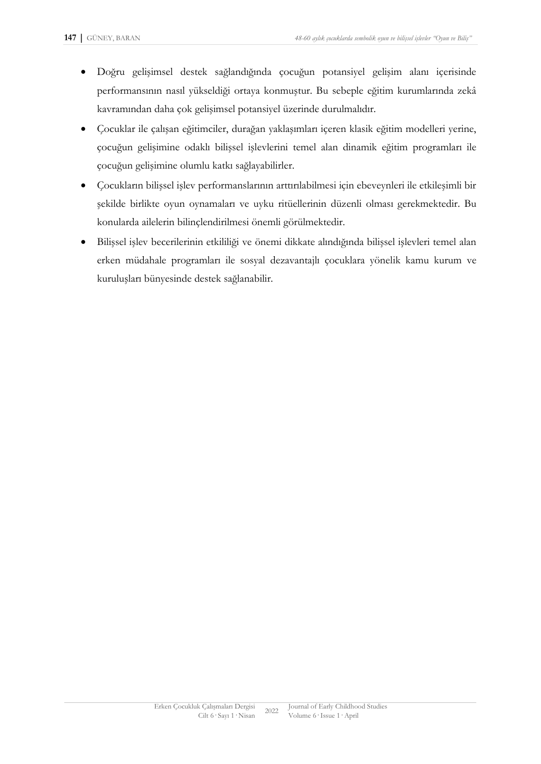- Doğru gelişimsel destek sağlandığında çocuğun potansiyel gelişim alanı içerisinde performansının nasıl yükseldiği ortaya konmuştur. Bu sebeple eğitim kurumlarında zekâ kavramından daha çok gelişimsel potansiyel üzerinde durulmalıdır.
- Çocuklar ile çalışan eğitimciler, durağan yaklaşımları içeren klasik eğitim modelleri yerine, çocuğun gelişimine odaklı bilişsel işlevlerini temel alan dinamik eğitim programları ile çocuğun gelişimine olumlu katkı sağlayabilirler.
- Çocukların bilişsel işlev performanslarının arttırılabilmesi için ebeveynleri ile etkileşimli bir şekilde birlikte oyun oynamaları ve uyku ritüellerinin düzenli olması gerekmektedir. Bu konularda ailelerin bilinçlendirilmesi önemli görülmektedir.
- Bilişsel işlev becerilerinin etkililiği ve önemi dikkate alındığında bilişsel işlevleri temel alan erken müdahale programları ile sosyal dezavantajlı çocuklara yönelik kamu kurum ve kuruluşları bünyesinde destek sağlanabilir.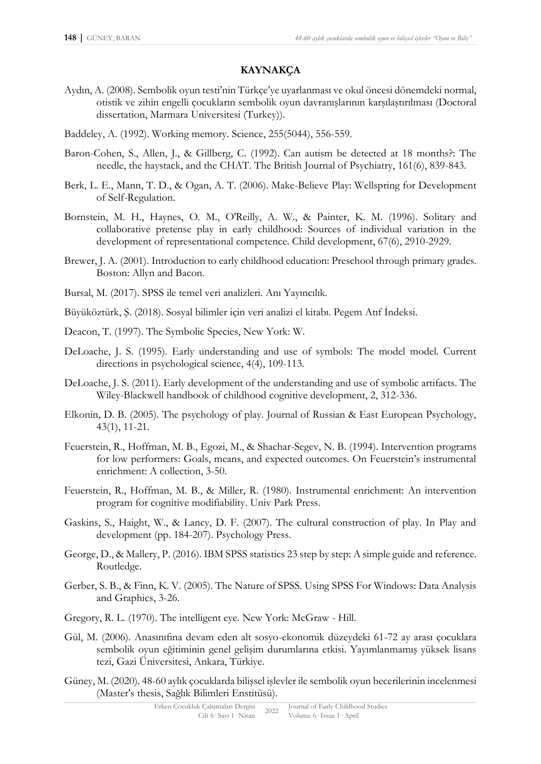## **KAYNAKÇA**

- Aydın, A. (2008). Sembolik oyun testi'nin Türkçe'ye uyarlanması ve okul öncesi dönemdeki normal, otistik ve zihin engelli çocukların sembolik oyun davranışlarının karşılaştırılması (Doctoral dissertation, Marmara Universitesi (Turkey)).
- Baddeley, A. (1992). Working memory. Science, 255(5044), 556-559.
- Baron-Cohen, S., Allen, J., & Gillberg, C. (1992). Can autism be detected at 18 months?: The needle, the haystack, and the CHAT. The British Journal of Psychiatry, 161(6), 839-843.
- Berk, L. E., Mann, T. D., & Ogan, A. T. (2006). Make-Believe Play: Wellspring for Development of Self-Regulation.
- Bornstein, M. H., Haynes, O. M., O'Reilly, A. W., & Painter, K. M. (1996). Solitary and collaborative pretense play in early childhood: Sources of individual variation in the development of representational competence. Child development, 67(6), 2910-2929.
- Brewer, J. A. (2001). Introduction to early childhood education: Preschool through primary grades. Boston: Allyn and Bacon.
- Bursal, M. (2017). SPSS ile temel veri analizleri. Anı Yayıncılık.
- Büyüköztürk, Ş. (2018). Sosyal bilimler için veri analizi el kitabı. Pegem Atıf İndeksi.
- Deacon, T. (1997). The Symbolic Species, New York: W.
- DeLoache, J. S. (1995). Early understanding and use of symbols: The model model. Current directions in psychological science, 4(4), 109-113.
- DeLoache, J. S. (2011). Early development of the understanding and use of symbolic artifacts. The Wiley-Blackwell handbook of childhood cognitive development, 2, 312-336.
- Elkonin, D. B. (2005). The psychology of play. Journal of Russian & East European Psychology, 43(1), 11-21.
- Feuerstein, R., Hoffman, M. B., Egozi, M., & Shachar-Segev, N. B. (1994). Intervention programs for low performers: Goals, means, and expected outcomes. On Feuerstein's instrumental enrichment: A collection, 3-50.
- Feuerstein, R., Hoffman, M. B., & Miller, R. (1980). Instrumental enrichment: An intervention program for cognitive modifiability. Univ Park Press.
- Gaskins, S., Haight, W., & Lancy, D. F. (2007). The cultural construction of play. In Play and development (pp. 184-207). Psychology Press.
- George, D., & Mallery, P. (2016). IBM SPSS statistics 23 step by step: A simple guide and reference. Routledge.
- Gerber, S. B., & Finn, K. V. (2005). The Nature of SPSS. Using SPSS For Windows: Data Analysis and Graphics, 3-26.
- Gregory, R. L. (1970). The intelligent eye. New York: McGraw Hill.
- Gül, M. (2006). Anasınıfına devam eden alt sosyo-ekonomik düzeydeki 61-72 ay arası çocuklara sembolik oyun eğitiminin genel gelişim durumlarına etkisi. Yayımlanmamış yüksek lisans tezi, Gazi Üniversitesi, Ankara, Türkiye.
- Güney, M. (2020). 48-60 aylık çocuklarda bilişsel işlevler ile sembolik oyun becerilerinin incelenmesi (Master's thesis, Sağlık Bilimleri Enstitüsü).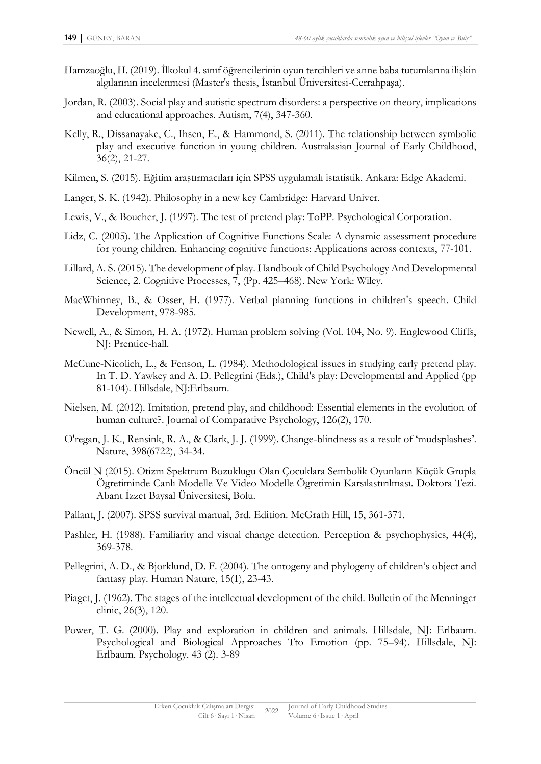- Hamzaoğlu, H. (2019). İlkokul 4. sınıf öğrencilerinin oyun tercihleri ve anne baba tutumlarına ilişkin algılarının incelenmesi (Master's thesis, İstanbul Üniversitesi-Cerrahpaşa).
- Jordan, R. (2003). Social play and autistic spectrum disorders: a perspective on theory, implications and educational approaches. Autism, 7(4), 347-360.
- Kelly, R., Dissanayake, C., Ihsen, E., & Hammond, S. (2011). The relationship between symbolic play and executive function in young children. Australasian Journal of Early Childhood, 36(2), 21-27.
- Kilmen, S. (2015). Eğitim araştırmacıları için SPSS uygulamalı istatistik. Ankara: Edge Akademi.
- Langer, S. K. (1942). Philosophy in a new key Cambridge: Harvard Univer.
- Lewis, V., & Boucher, J. (1997). The test of pretend play: ToPP. Psychological Corporation.
- Lidz, C. (2005). The Application of Cognitive Functions Scale: A dynamic assessment procedure for young children. Enhancing cognitive functions: Applications across contexts, 77-101.
- Lillard, A. S. (2015). The development of play. Handbook of Child Psychology And Developmental Science, 2. Cognitive Processes, 7, (Pp. 425–468). New York: Wiley.
- MacWhinney, B., & Osser, H. (1977). Verbal planning functions in children's speech. Child Development, 978-985.
- Newell, A., & Simon, H. A. (1972). Human problem solving (Vol. 104, No. 9). Englewood Cliffs, NJ: Prentice-hall.
- McCune-Nicolich, L., & Fenson, L. (1984). Methodological issues in studying early pretend play. In T. D. Yawkey and A. D. Pellegrini (Eds.), Child's play: Developmental and Applied (pp 81-104). Hillsdale, NJ:Erlbaum.
- Nielsen, M. (2012). Imitation, pretend play, and childhood: Essential elements in the evolution of human culture?. Journal of Comparative Psychology, 126(2), 170.
- O'regan, J. K., Rensink, R. A., & Clark, J. J. (1999). Change-blindness as a result of 'mudsplashes'. Nature, 398(6722), 34-34.
- Öncül N (2015). Otizm Spektrum Bozuklugu Olan Çocuklara Sembolik Oyunların Küçük Grupla Ögretiminde Canlı Modelle Ve Video Modelle Ögretimin Karsılastırılması. Doktora Tezi. Abant İzzet Baysal Üniversitesi, Bolu.
- Pallant, J. (2007). SPSS survival manual, 3rd. Edition. McGrath Hill, 15, 361-371.
- Pashler, H. (1988). Familiarity and visual change detection. Perception & psychophysics, 44(4), 369-378.
- Pellegrini, A. D., & Bjorklund, D. F. (2004). The ontogeny and phylogeny of children's object and fantasy play. Human Nature, 15(1), 23-43.
- Piaget, J. (1962). The stages of the intellectual development of the child. Bulletin of the Menninger clinic, 26(3), 120.
- Power, T. G. (2000). Play and exploration in children and animals. Hillsdale, NJ: Erlbaum. Psychological and Biological Approaches Tto Emotion (pp. 75–94). Hillsdale, NJ: Erlbaum. Psychology. 43 (2). 3-89